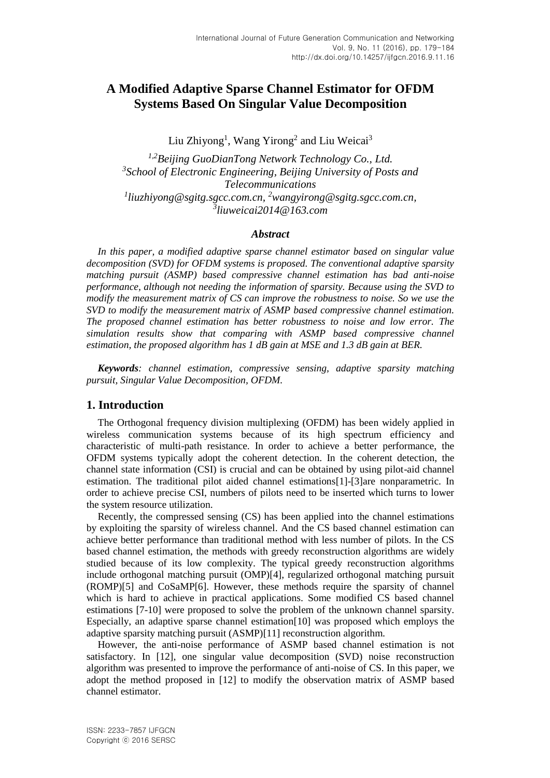# **A Modified Adaptive Sparse Channel Estimator for OFDM Systems Based On Singular Value Decomposition**

Liu Zhiyong<sup>1</sup>, Wang Yirong<sup>2</sup> and Liu Weicai<sup>3</sup>

*1,2Beijing GuoDianTong Network Technology Co., Ltd. 3 School of Electronic Engineering, Beijing University of Posts and Telecommunications 1 liuzhiyong@sgitg.sgcc.com.cn, <sup>2</sup>[wangyirong@sgitg.sgcc.com.cn,](mailto:wangyirong@sgitg.sgcc.com.cn) 3 liuweicai2014@163.com*

#### *Abstract*

*In this paper, a modified adaptive sparse channel estimator based on singular value decomposition (SVD) for OFDM systems is proposed. The conventional adaptive sparsity matching pursuit (ASMP) based compressive channel estimation has bad anti-noise performance, although not needing the information of sparsity. Because using the SVD to modify the measurement matrix of CS can improve the robustness to noise. So we use the SVD to modify the measurement matrix of ASMP based compressive channel estimation. The proposed channel estimation has better robustness to noise and low error. The simulation results show that comparing with ASMP based compressive channel estimation, the proposed algorithm has 1 dB gain at MSE and 1.3 dB gain at BER.*

*Keywords: channel estimation, compressive sensing, adaptive sparsity matching pursuit, Singular Value Decomposition, OFDM.*

### **1. Introduction**

The Orthogonal frequency division multiplexing (OFDM) has been widely applied in wireless communication systems because of its high spectrum efficiency and characteristic of multi-path resistance. In order to achieve a better performance, the OFDM systems typically adopt the coherent detection. In the coherent detection, the channel state information (CSI) is crucial and can be obtained by using pilot-aid channel estimation. The traditional pilot aided channel estimation[s\[1\]-](#page-4-0)[\[3\]a](#page-4-1)re nonparametric. In order to achieve precise CSI, numbers of pilots need to be inserted which turns to lower the system resource utilization.

Recently, the compressed sensing (CS) has been applied into the channel estimations by exploiting the sparsity of wireless channel. And the CS based channel estimation can achieve better performance than traditional method with less number of pilots. In the CS based channel estimation, the methods with greedy reconstruction algorithms are widely studied because of its low complexity. The typical greedy reconstruction algorithms include orthogonal matching pursuit (OMP[\)\[4\],](#page-4-2) regularized orthogonal matching pursuit (ROMP[\)\[5\]](#page-4-3) and CoSaMP[6]. However, these methods require the sparsity of channel which is hard to achieve in practical applications. Some modified CS based channel estimations [7-10] were proposed to solve the problem of the unknown channel sparsity. Especially, an adaptive sparse channel estimatio[n\[10\]](#page-4-4) was proposed which employs the adaptive sparsity matching pursuit (ASMP[\)\[11\]](#page-5-0) reconstruction algorithm.

However, the anti-noise performance of ASMP based channel estimation is not satisfactory. In [\[12\],](#page-5-1) one singular value decomposition (SVD) noise reconstruction algorithm was presented to improve the performance of anti-noise of CS. In this paper, we adopt the method proposed in [\[12\]](#page-5-1) to modify the observation matrix of ASMP based channel estimator.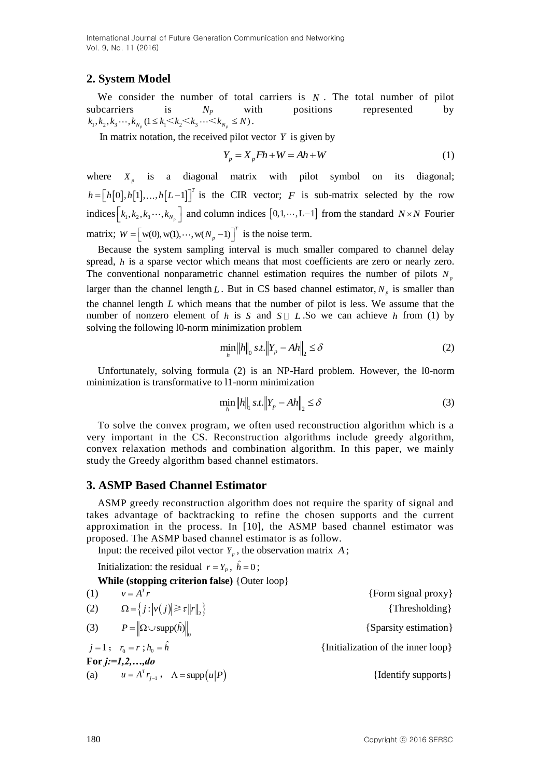International Journal of Future Generation Communication and Networking Vol. 9, No. 11 (2016)

## **2. System Model**

We consider the number of total carriers is  $N$ . The total number of pilot subcarriers is  $N_p$  with positions represented by  $k_1, k_2, k_3 \cdots, k_{N_p} (1 \le k_1 \le k_2 \le k_3 \cdots \le k_{N_p} \le N)$ .

In matrix notation, the received pilot vector  $Y$  is given by

$$
Y_p = X_p F h + W = Ah + W \tag{1}
$$

where  $X_p$  is a diagonal matrix with pilot symbol on its diagonal;  $h = [h[0], h[1], ..., h[L-1]]^T$  is the CIR vector; F is sub-matrix selected by the row indices  $\begin{bmatrix} k_1, k_2, k_3, \dots, k_{N_p} \end{bmatrix}$  and column indices  $\begin{bmatrix} 0, 1, \dots, L-1 \end{bmatrix}$  from the standard  $N \times N$  Fourier matrix;  $W = \left[ w(0), w(1), \dots, w(N_p-1) \right]^T$  is the noise term.

Because the system sampling interval is much smaller compared to channel delay spread, *h* is a sparse vector which means that most coefficients are zero or nearly zero. The conventional nonparametric channel estimation requires the number of pilots  $N_p$ larger than the channel length L. But in CS based channel estimator,  $N_p$  is smaller than the channel length *L* which means that the number of pilot is less. We assume that the number of nonzero element of h is S and  $S \square L$ . So we can achieve h from (1) by solving the following l0-norm minimization problem

$$
\min_{h} \|h\|_{0} \, \text{s.t.} \left\|Y_{p} - Ah\right\|_{2} \leq \delta \tag{2}
$$

Unfortunately, solving formula (2) is an NP-Hard problem. However, the l0-norm minimization is transformative to l1-norm minimization

$$
\min_{h} \|h\|_{1} \, st.\|Y_{p} - Ah\|_{2} \leq \delta \tag{3}
$$

To solve the convex program, we often used reconstruction algorithm which is a very important in the CS. Reconstruction algorithms include greedy algorithm, convex relaxation methods and combination algorithm. In this paper, we mainly study the Greedy algorithm based channel estimators.

### **3. ASMP Based Channel Estimator**

ASMP greedy reconstruction algorithm does not require the sparity of signal and takes advantage of backtracking to refine the chosen supports and the current approximation in the process. In [\[10\],](#page-4-4) the ASMP based channel estimator was proposed. The ASMP based channel estimator is as follow.

Input: the received pilot vector  $Y_p$ , the observation matrix  $A$ ;

Initialization: the residual  $r = Y_p$ ,  $\hat{h} = 0$ ;

**While (stopping criterion false)** {Outer loop}

| (1) | $v = A^T r$                                                                        | {Form signal proxy}                |
|-----|------------------------------------------------------------------------------------|------------------------------------|
| (2) | $\Omega = \left\{ j : \left  v(j) \right  \geq \tau \left\  r \right\ _2 \right\}$ | $\{Thresholding\}$                 |
|     | (3) $P = \ \Omega \cup \text{supp}(\hat{h})\ $                                     | {Sparsity estimation}              |
|     | $j=1; r_0=r; h_0=h$                                                                | {Initialization of the inner loop} |
|     | For $j:=1,2,,do$                                                                   |                                    |
|     | (a) $u = A^{T} r_{i-1}$ , $\Lambda = \text{supp}(u P)$                             | {Identify supports}                |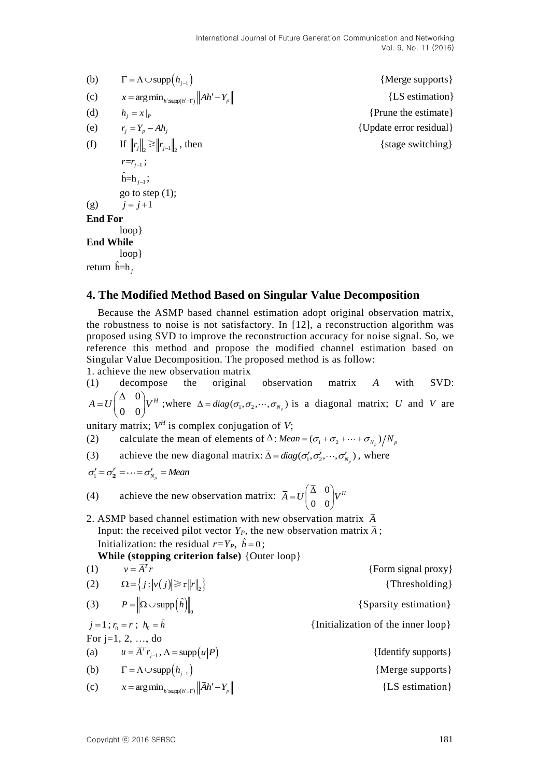| (b)            | $\Gamma = \Lambda \cup \text{supp}(h_{i-1})$                 | {Merge supports}        |
|----------------|--------------------------------------------------------------|-------------------------|
| (c)            | $x = \arg \min_{h': \text{supp}(h' = \Gamma)}   Ah' - Y_p  $ | {LS estimation}         |
| (d)            | $h_i = x\vert_p$                                             | {Prune the estimate}    |
| (e)            | $r_i = Y_p - Ah_i$                                           | {Update error residual} |
| (f)            | If $  r_j  _{\infty} \ge   r_{j-1}  _{\infty}$ , then        | {stage switching}       |
|                | $r=r_{i-1}$ ;                                                |                         |
|                | $\hat{h} = h_{i-1};$                                         |                         |
|                | go to step $(1)$ ;                                           |                         |
| (g)            | $j=j+1$                                                      |                         |
| <b>End For</b> |                                                              |                         |
|                | loop                                                         |                         |
|                | <b>End While</b>                                             |                         |
|                | loop                                                         |                         |

return ˆ h=h *<sup>j</sup>*

# **4. The Modified Method Based on Singular Value Decomposition**

Because the ASMP based channel estimation adopt original observation matrix, the robustness to noise is not satisfactory. In [\[12\],](#page-5-1) a reconstruction algorithm was proposed using SVD to improve the reconstruction accuracy for noise signal. So, we reference this method and propose the modified channel estimation based on Singular Value Decomposition. The proposed method is as follow:

1. achieve the new observation matrix (1) decompose the original observation matrix *A* with SVD:

0 0 0  $A = U \begin{pmatrix} \Delta & 0 \\ 0 & 0 \end{pmatrix} V^H$  $= U \begin{pmatrix} 1 & 0 \ 0 & 0 \end{pmatrix} V^H$ ; where  $\Delta = diag(\sigma_1, \sigma_2, \dots, \sigma_{N_p})$  is a diagonal matrix; *U* and *V* are

unitary matrix;  $V^H$  is complex conjugation of *V*;

(2) calculate the mean of elements of  $\Delta$ : *Mean* =  $(\sigma_1 + \sigma_2 + \cdots + \sigma_{N_p})/N_p$ 

(3) achieve the new diagonal matrix:  $\overline{\Delta} = diag(\sigma'_1, \sigma'_2, \dots, \sigma'_{N_p})$ , where

$$
\sigma_1'=\sigma_2'=\cdots=\sigma_{N_p}'=Mean
$$

(4) achieve the new observation matrix:  $\bar{A} = U \begin{pmatrix} \Delta & 0 \\ 0 & 0 \end{pmatrix}$ 0 0  $\overline{A} = U \begin{pmatrix} \overline{\Delta} & 0 \\ 0 & 0 \end{pmatrix} V^H$ 

2. ASMP based channel estimation with new observation matrix *A* Input: the received pilot vector  $Y_P$ , the new observation matrix  $\overline{A}$ ; Initialization: the residual  $r = Y_P$ ,  $\hat{h} = 0$ ;

**While (stopping criterion false)** {Outer loop}

(1) 
$$
v = \overline{A}^T r
$$
 {Form signal proxy}  
\n(2)  $\Omega = \{j : |v(j)| \ge r ||r||_2\}$  {Thresholding}  
\n(3)  $P = ||\Omega \cup \text{supp}(\hat{h})||_0$  {Sparsity estimation}  
\n $j = 1; r_0 = r; h_0 = \hat{h}$  {Initialization of the inner loop}  
\nFor j=1, 2, ..., do  
\n(a)  $u = \overline{A}^T r_{j-1}, \Lambda = \text{supp}(u|P)$  {Identify supports}  
\n(b)  $\Gamma = \Lambda \cup \text{supp}(h_{j-1})$  {Merge supports}  
\n(c)  $x = \arg \min_{h': \text{supp}(h' = \Gamma)} ||\overline{A}h' - Y_p||$  {LS estimation}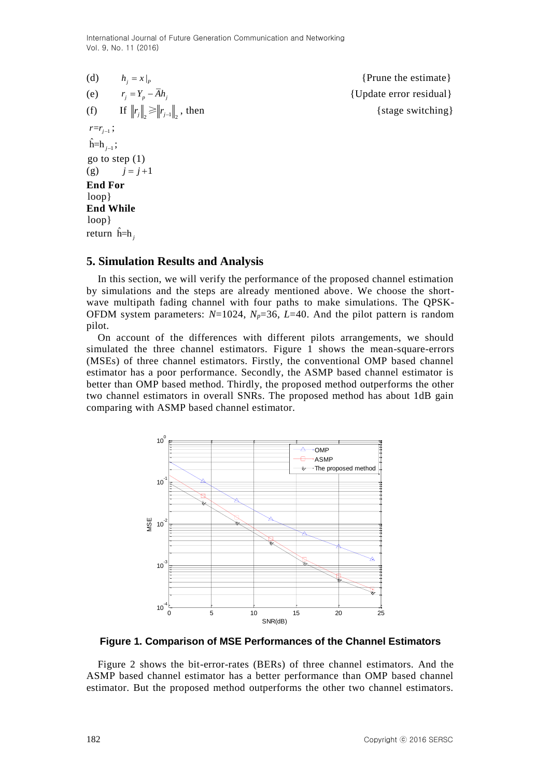International Journal of Future Generation Communication and Networking Vol. 9, No. 11 (2016)

|                        | (d) $h_i = x _p$                            | {Prune the estimate}    |  |  |
|------------------------|---------------------------------------------|-------------------------|--|--|
|                        | (e) $r_i = Y_p - \overline{A}h_i$           | {Update error residual} |  |  |
|                        | (f) If $  r_j  _2 \ge   r_{j-1}  _2$ , then | {stage switching}       |  |  |
| $r=r_{i-1}$ ;          |                                             |                         |  |  |
| $\hat{h} = h_{i-1};$   |                                             |                         |  |  |
|                        | go to step $(1)$                            |                         |  |  |
|                        | (g) $j = j+1$                               |                         |  |  |
| <b>End For</b>         |                                             |                         |  |  |
| loop                   |                                             |                         |  |  |
| <b>End While</b>       |                                             |                         |  |  |
| loop                   |                                             |                         |  |  |
| return $\hat{h} = h$ , |                                             |                         |  |  |

### **5. Simulation Results and Analysis**

In this section, we will verify the performance of the proposed channel estimation by simulations and the steps are already mentioned above. We choose the shortwave multipath fading channel with four paths to make simulations. The QPSK-OFDM system parameters: *N*=1024, *Np*=36, *L*=40. And the pilot pattern is random pilot.

On account of the differences with different pilots arrangements, we should simulated the three channel estimators. Figure 1 shows the mean-square-errors (MSEs) of three channel estimators. Firstly, the conventional OMP based channel estimator has a poor performance. Secondly, the ASMP based channel estimator is better than OMP based method. Thirdly, the proposed method outperforms the other two channel estimators in overall SNRs. The proposed method has about 1dB gain comparing with ASMP based channel estimator.



**Figure 1. Comparison of MSE Performances of the Channel Estimators**

Figure 2 shows the bit-error-rates (BERs) of three channel estimators. And the ASMP based channel estimator has a better performance than OMP based channel estimator. But the proposed method outperforms the other two channel estimators.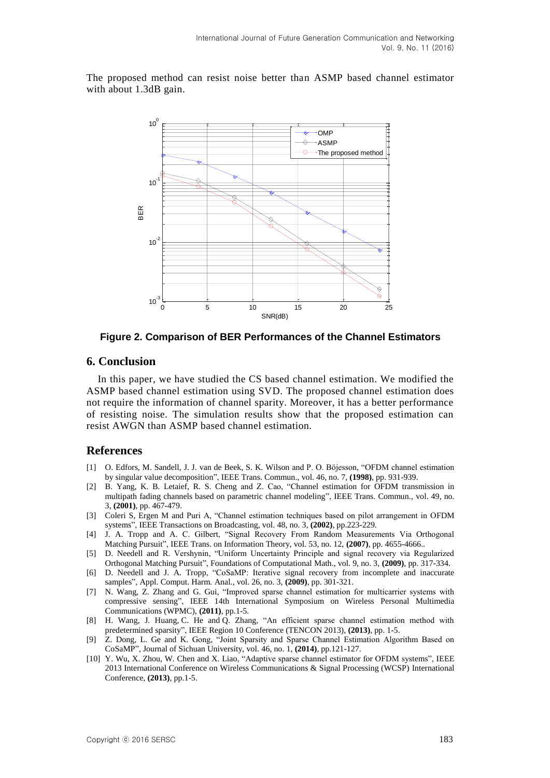The proposed method can resist noise better than ASMP based channel estimator with about 1.3dB gain.



**Figure 2. Comparison of BER Performances of the Channel Estimators**

## **6. Conclusion**

In this paper, we have studied the CS based channel estimation. We modified the ASMP based channel estimation using SVD. The proposed channel estimation does not require the information of channel sparity. Moreover, it has a better performance of resisting noise. The simulation results show that the proposed estimation can resist AWGN than ASMP based channel estimation.

### **References**

- <span id="page-4-0"></span>[1] O. Edfors, M. Sandell, J. J. van de Beek, S. K. Wilson and P. O. Böjesson, "OFDM channel estimation by singular value decomposition", IEEE Trans. Commun., vol. 46, no. 7, **(1998)**, pp. 931-939.
- [2] B. Yang, K. B. Letaief, R. S. Cheng and Z. Cao, "Channel estimation for OFDM transmission in multipath fading channels based on parametric channel modeling", IEEE Trans. Commun., vol. 49, no. 3, **(2001)**, pp. 467-479.
- <span id="page-4-1"></span>[3] Coleri S, Ergen M and Puri A, "Channel estimation techniques based on pilot arrangement in OFDM systems", IEEE Transactions on Broadcasting, vol. 48, no. 3, **(2002)**, pp.223-229.
- <span id="page-4-2"></span>[4] J. A. Tropp and A. C. Gilbert, "Signal Recovery From Random Measurements Via Orthogonal Matching Pursuit", IEEE Trans. on Information Theory, vol. 53, no. 12, **(2007)**, pp. 4655-4666..
- <span id="page-4-3"></span>[5] D. Needell and R. Vershynin, "Uniform Uncertainty Principle and signal recovery via Regularized Orthogonal Matching Pursuit", Foundations of Computational Math., vol. 9, no. 3, **(2009)**, pp. 317-334.
- [6] D. Needell and J. A. Tropp, "CoSaMP: Iterative signal recovery from incomplete and inaccurate samples", Appl. Comput. Harm. Anal., vol. 26, no. 3, **(2009)**, pp. 301-321.
- [7] N. Wang, Z. Zhang and G. Gui, "Improved sparse channel estimation for multicarrier systems with compressive sensing", IEEE 14th International Symposium on Wireless Personal Multimedia Communications (WPMC), **(2011)**, pp.1-5.
- [8] H. [Wang,](http://ieeexplore.ieee.org/search/searchresult.jsp?searchWithin=p_Authors:.QT.Han%20Wang.QT.&newsearch=true) J. [Huang,](http://ieeexplore.ieee.org/search/searchresult.jsp?searchWithin=p_Authors:.QT.Jianguo%20Huang.QT.&newsearch=true) C. [He](http://ieeexplore.ieee.org/search/searchresult.jsp?searchWithin=p_Authors:.QT.Chengbing%20He.QT.&newsearch=true) and Q. [Zhang,](http://ieeexplore.ieee.org/search/searchresult.jsp?searchWithin=p_Authors:.QT.Qunfei%20Zhang.QT.&newsearch=true) "An efficient sparse channel estimation method with predetermined sparsity", IEEE Region 10 Conference (TENCON 2013), **(2013)**, pp. 1-5.
- [9] Z. Dong, L. Ge and K. Gong, "Joint Sparsity and Sparse Channel Estimation Algorithm Based on CoSaMP", Journal of Sichuan University, vol. 46, no. 1, **(2014)**, pp.121-127.
- <span id="page-4-4"></span>[10] Y. [Wu,](http://ieeexplore.ieee.org/search/searchresult.jsp?searchWithin=p_Authors:.QT.Yun%20Wu.QT.&newsearch=true) X. [Zhou,](http://ieeexplore.ieee.org/search/searchresult.jsp?searchWithin=p_Authors:.QT.Xiaolin%20Zhou.QT.&newsearch=true) W. [Chen](http://ieeexplore.ieee.org/search/searchresult.jsp?searchWithin=p_Authors:.QT.Wen%20Chen.QT.&newsearch=true) and X. [Liao,](http://ieeexplore.ieee.org/search/searchresult.jsp?searchWithin=p_Authors:.QT.Xiaofei%20Liao.QT.&newsearch=true) "Adaptive sparse channel estimator for OFDM systems", IEEE 2013 International Conference on Wireless Communications & Signal Processing (WCSP) [International](http://ieeexplore.ieee.org/xpl/mostRecentIssue.jsp?punumber=6670253)  [Conference,](http://ieeexplore.ieee.org/xpl/mostRecentIssue.jsp?punumber=6670253) **(2013)**, pp.1-5.